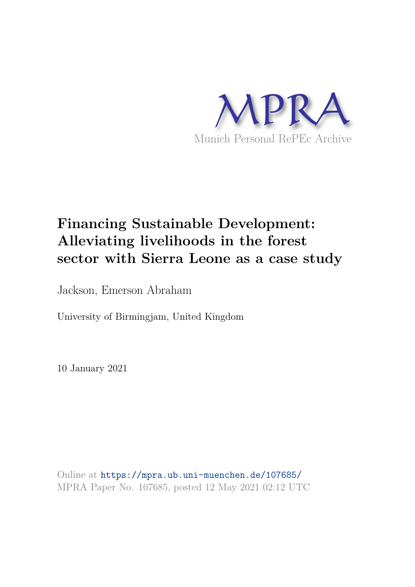

# **Financing Sustainable Development: Alleviating livelihoods in the forest sector with Sierra Leone as a case study**

Jackson, Emerson Abraham

University of Birmingjam, United Kingdom

10 January 2021

Online at https://mpra.ub.uni-muenchen.de/107685/ MPRA Paper No. 107685, posted 12 May 2021 02:12 UTC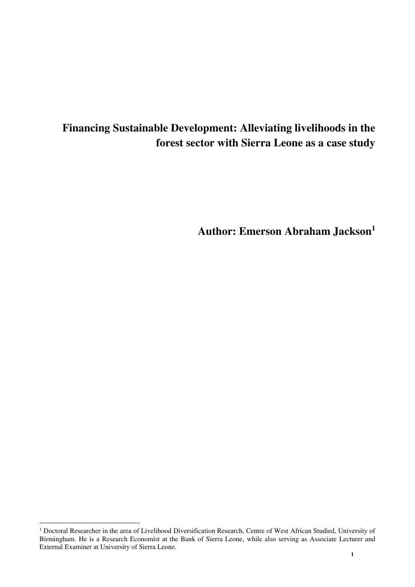# **Financing Sustainable Development: Alleviating livelihoods in the forest sector with Sierra Leone as a case study**

**Author: Emerson Abraham Jackson<sup>1</sup>**

 1 Doctoral Researcher in the area of Livelihood Diversification Research, Centre of West African Studied, University of Birmingham. He is a Research Economist at the Bank of Sierra Leone, while also serving as Associate Lecturer and External Examiner at University of Sierra Leone.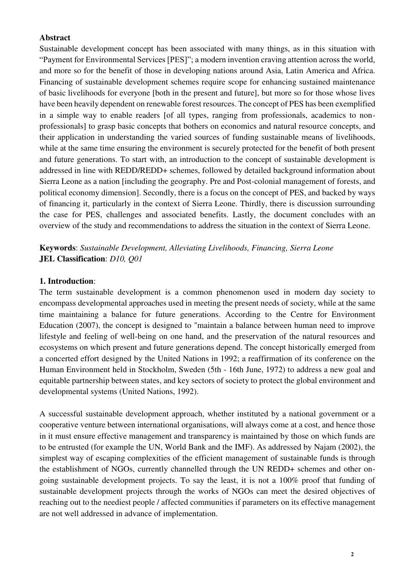#### **Abstract**

Sustainable development concept has been associated with many things, as in this situation with "Payment for Environmental Services [PES]"; a modern invention craving attention across the world, and more so for the benefit of those in developing nations around Asia, Latin America and Africa. Financing of sustainable development schemes require scope for enhancing sustained maintenance of basic livelihoods for everyone [both in the present and future], but more so for those whose lives have been heavily dependent on renewable forest resources. The concept of PES has been exemplified in a simple way to enable readers [of all types, ranging from professionals, academics to nonprofessionals] to grasp basic concepts that bothers on economics and natural resource concepts, and their application in understanding the varied sources of funding sustainable means of livelihoods, while at the same time ensuring the environment is securely protected for the benefit of both present and future generations. To start with, an introduction to the concept of sustainable development is addressed in line with REDD/REDD+ schemes, followed by detailed background information about Sierra Leone as a nation [including the geography. Pre and Post-colonial management of forests, and political economy dimension]. Secondly, there is a focus on the concept of PES, and backed by ways of financing it, particularly in the context of Sierra Leone. Thirdly, there is discussion surrounding the case for PES, challenges and associated benefits. Lastly, the document concludes with an overview of the study and recommendations to address the situation in the context of Sierra Leone.

**Keywords**: *Sustainable Development, Alleviating Livelihoods, Financing, Sierra Leone* **JEL Classification**: *D10, Q01*

#### **1. Introduction**:

The term sustainable development is a common phenomenon used in modern day society to encompass developmental approaches used in meeting the present needs of society, while at the same time maintaining a balance for future generations. According to the Centre for Environment Education (2007), the concept is designed to "maintain a balance between human need to improve lifestyle and feeling of well-being on one hand, and the preservation of the natural resources and ecosystems on which present and future generations depend. The concept historically emerged from a concerted effort designed by the United Nations in 1992; a reaffirmation of its conference on the Human Environment held in Stockholm, Sweden (5th - 16th June, 1972) to address a new goal and equitable partnership between states, and key sectors of society to protect the global environment and developmental systems (United Nations, 1992).

A successful sustainable development approach, whether instituted by a national government or a cooperative venture between international organisations, will always come at a cost, and hence those in it must ensure effective management and transparency is maintained by those on which funds are to be entrusted (for example the UN, World Bank and the IMF). As addressed by Najam (2002), the simplest way of escaping complexities of the efficient management of sustainable funds is through the establishment of NGOs, currently channelled through the UN REDD+ schemes and other ongoing sustainable development projects. To say the least, it is not a 100% proof that funding of sustainable development projects through the works of NGOs can meet the desired objectives of reaching out to the neediest people / affected communities if parameters on its effective management are not well addressed in advance of implementation.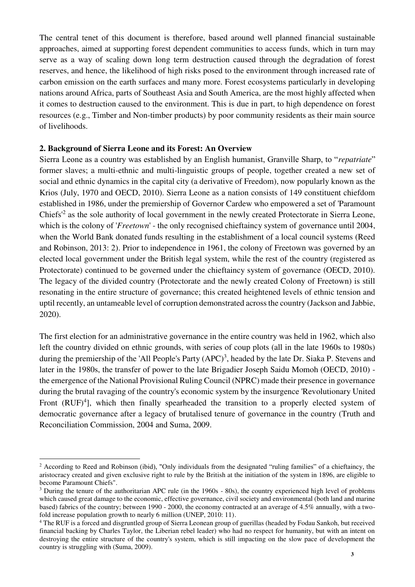The central tenet of this document is therefore, based around well planned financial sustainable approaches, aimed at supporting forest dependent communities to access funds, which in turn may serve as a way of scaling down long term destruction caused through the degradation of forest reserves, and hence, the likelihood of high risks posed to the environment through increased rate of carbon emission on the earth surfaces and many more. Forest ecosystems particularly in developing nations around Africa, parts of Southeast Asia and South America, are the most highly affected when it comes to destruction caused to the environment. This is due in part, to high dependence on forest resources (e.g., Timber and Non-timber products) by poor community residents as their main source of livelihoods.

#### **2. Background of Sierra Leone and its Forest: An Overview**

-

Sierra Leone as a country was established by an English humanist, Granville Sharp, to "*repatriate*" former slaves; a multi-ethnic and multi-linguistic groups of people, together created a new set of social and ethnic dynamics in the capital city (a derivative of Freedom), now popularly known as the Krios (July, 1970 and OECD, 2010). Sierra Leone as a nation consists of 149 constituent chiefdom established in 1986, under the premiership of Governor Cardew who empowered a set of 'Paramount Chiefs<sup>'2</sup> as the sole authority of local government in the newly created Protectorate in Sierra Leone, which is the colony of '*Freetown*' - the only recognised chieftaincy system of governance until 2004, when the World Bank donated funds resulting in the establishment of a local council systems (Reed and Robinson, 2013: 2). Prior to independence in 1961, the colony of Freetown was governed by an elected local government under the British legal system, while the rest of the country (registered as Protectorate) continued to be governed under the chieftaincy system of governance (OECD, 2010). The legacy of the divided country (Protectorate and the newly created Colony of Freetown) is still resonating in the entire structure of governance; this created heightened levels of ethnic tension and uptil recently, an untameable level of corruption demonstrated across the country (Jackson and Jabbie, 2020).

The first election for an administrative governance in the entire country was held in 1962, which also left the country divided on ethnic grounds, with series of coup plots (all in the late 1960s to 1980s) during the premiership of the 'All People's Party (APC)<sup>3</sup>, headed by the late Dr. Siaka P. Stevens and later in the 1980s, the transfer of power to the late Brigadier Joseph Saidu Momoh (OECD, 2010) the emergence of the National Provisional Ruling Council (NPRC) made their presence in governance during the brutal ravaging of the country's economic system by the insurgence 'Revolutionary United Front  $(RUF)^4$ ], which then finally spearheaded the transition to a properly elected system of democratic governance after a legacy of brutalised tenure of governance in the country (Truth and Reconciliation Commission, 2004 and Suma, 2009.

<sup>2</sup> According to Reed and Robinson (ibid), "Only individuals from the designated "ruling families" of a chieftaincy, the aristocracy created and given exclusive right to rule by the British at the initiation of the system in 1896, are eligible to become Paramount Chiefs".

<sup>&</sup>lt;sup>3</sup> During the tenure of the authoritarian APC rule (in the 1960s - 80s), the country experienced high level of problems which caused great damage to the economic, effective governance, civil society and environmental (both land and marine based) fabrics of the country; between 1990 - 2000, the economy contracted at an average of 4.5% annually, with a twofold increase population growth to nearly 6 million (UNEP, 2010: 11).

<sup>4</sup> The RUF is a forced and disgruntled group of Sierra Leonean group of guerillas (headed by Fodau Sankoh, but received financial backing by Charles Taylor, the Liberian rebel leader) who had no respect for humanity, but with an intent on destroying the entire structure of the country's system, which is still impacting on the slow pace of development the country is struggling with (Suma, 2009).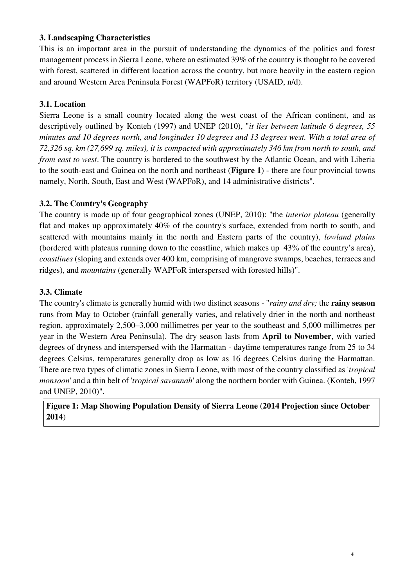#### **3. Landscaping Characteristics**

This is an important area in the pursuit of understanding the dynamics of the politics and forest management process in Sierra Leone, where an estimated 39% of the country is thought to be covered with forest, scattered in different location across the country, but more heavily in the eastern region and around Western Area Peninsula Forest (WAPFoR) territory (USAID, n/d).

# **3.1. Location**

Sierra Leone is a small country located along the west coast of the African continent, and as descriptively outlined by Konteh (1997) and UNEP (2010), "*it lies between latitude 6 degrees, 55 minutes and 10 degrees north, and longitudes 10 degrees and 13 degrees west. With a total area of 72,326 sq. km (27,699 sq. miles), it is compacted with approximately 346 km from north to south, and from east to west*. The country is bordered to the southwest by the Atlantic Ocean, and with Liberia to the south-east and Guinea on the north and northeast (**Figure 1**) - there are four provincial towns namely, North, South, East and West (WAPFoR), and 14 administrative districts".

### **3.2. The Country's Geography**

The country is made up of four geographical zones (UNEP, 2010): "the *interior plateau* (generally flat and makes up approximately 40% of the country's surface, extended from north to south, and scattered with mountains mainly in the north and Eastern parts of the country), *lowland plains* (bordered with plateaus running down to the coastline, which makes up 43% of the country's area), *coastlines* (sloping and extends over 400 km, comprising of mangrove swamps, beaches, terraces and ridges), and *mountains* (generally WAPFoR interspersed with forested hills)".

### **3.3. Climate**

The country's climate is generally humid with two distinct seasons - "*rainy and dry;* the **rainy season** runs from May to October (rainfall generally varies, and relatively drier in the north and northeast region, approximately 2,500–3,000 millimetres per year to the southeast and 5,000 millimetres per year in the Western Area Peninsula). The dry season lasts from **April to November**, with varied degrees of dryness and interspersed with the Harmattan - daytime temperatures range from 25 to 34 degrees Celsius, temperatures generally drop as low as 16 degrees Celsius during the Harmattan. There are two types of climatic zones in Sierra Leone, with most of the country classified as '*tropical monsoon*' and a thin belt of '*tropical savannah*' along the northern border with Guinea. (Konteh, 1997 and UNEP, 2010)".

# **Figure 1: Map Showing Population Density of Sierra Leone (2014 Projection since October 2014**)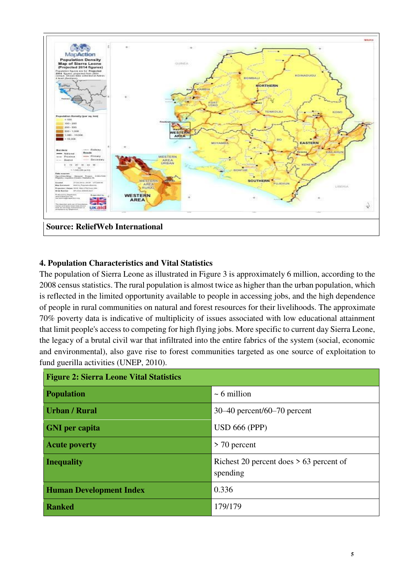

### **4. Population Characteristics and Vital Statistics**

The population of Sierra Leone as illustrated in Figure 3 is approximately 6 million, according to the 2008 census statistics. The rural population is almost twice as higher than the urban population, which is reflected in the limited opportunity available to people in accessing jobs, and the high dependence of people in rural communities on natural and forest resources for their livelihoods. The approximate 70% poverty data is indicative of multiplicity of issues associated with low educational attainment that limit people's access to competing for high flying jobs. More specific to current day Sierra Leone, the legacy of a brutal civil war that infiltrated into the entire fabrics of the system (social, economic and environmental), also gave rise to forest communities targeted as one source of exploitation to fund guerilla activities (UNEP, 2010).

| <b>Figure 2: Sierra Leone Vital Statistics</b> |                                                       |  |  |  |
|------------------------------------------------|-------------------------------------------------------|--|--|--|
| <b>Population</b>                              | $\sim$ 6 million                                      |  |  |  |
| <b>Urban / Rural</b>                           | $30-40$ percent/60-70 percent                         |  |  |  |
| <b>GNI</b> per capita                          | <b>USD 666 (PPP)</b>                                  |  |  |  |
| <b>Acute poverty</b>                           | $>$ 70 percent                                        |  |  |  |
| <b>Inequality</b>                              | Richest 20 percent does $> 63$ percent of<br>spending |  |  |  |
| <b>Human Development Index</b>                 | 0.336                                                 |  |  |  |
| <b>Ranked</b>                                  | 179/179                                               |  |  |  |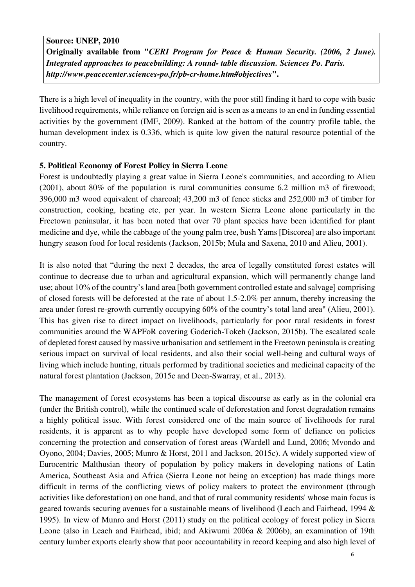**Source: UNEP, 2010 Originally available from "***CERI Program for Peace & Human Security. (2006, 2 June). Integrated approaches to peacebuilding: A round- table discussion. Sciences Po. Paris. http://www.peacecenter.sciences-po.fr/pb-cr-home.htm#objectives***".**

There is a high level of inequality in the country, with the poor still finding it hard to cope with basic livelihood requirements, while reliance on foreign aid is seen as a means to an end in funding essential activities by the government (IMF, 2009). Ranked at the bottom of the country profile table, the human development index is 0.336, which is quite low given the natural resource potential of the country.

#### **5. Political Economy of Forest Policy in Sierra Leone**

Forest is undoubtedly playing a great value in Sierra Leone's communities, and according to Alieu (2001), about 80% of the population is rural communities consume 6.2 million m3 of firewood; 396,000 m3 wood equivalent of charcoal; 43,200 m3 of fence sticks and 252,000 m3 of timber for construction, cooking, heating etc, per year. In western Sierra Leone alone particularly in the Freetown peninsular, it has been noted that over 70 plant species have been identified for plant medicine and dye, while the cabbage of the young palm tree, bush Yams [Discorea] are also important hungry season food for local residents (Jackson, 2015b; Mula and Saxena, 2010 and Alieu, 2001).

It is also noted that "during the next 2 decades, the area of legally constituted forest estates will continue to decrease due to urban and agricultural expansion, which will permanently change land use; about 10% of the country's land area [both government controlled estate and salvage] comprising of closed forests will be deforested at the rate of about 1.5-2.0% per annum, thereby increasing the area under forest re-growth currently occupying 60% of the country's total land area" (Alieu, 2001). This has given rise to direct impact on livelihoods, particularly for poor rural residents in forest communities around the WAPFoR covering Goderich-Tokeh (Jackson, 2015b). The escalated scale of depleted forest caused by massive urbanisation and settlement in the Freetown peninsula is creating serious impact on survival of local residents, and also their social well-being and cultural ways of living which include hunting, rituals performed by traditional societies and medicinal capacity of the natural forest plantation (Jackson, 2015c and Deen-Swarray, et al., 2013).

The management of forest ecosystems has been a topical discourse as early as in the colonial era (under the British control), while the continued scale of deforestation and forest degradation remains a highly political issue. With forest considered one of the main source of livelihoods for rural residents, it is apparent as to why people have developed some form of defiance on policies concerning the protection and conservation of forest areas (Wardell and Lund, 2006; Mvondo and Oyono, 2004; Davies, 2005; Munro & Horst, 2011 and Jackson, 2015c). A widely supported view of Eurocentric Malthusian theory of population by policy makers in developing nations of Latin America, Southeast Asia and Africa (Sierra Leone not being an exception) has made things more difficult in terms of the conflicting views of policy makers to protect the environment (through activities like deforestation) on one hand, and that of rural community residents' whose main focus is geared towards securing avenues for a sustainable means of livelihood (Leach and Fairhead, 1994 & 1995). In view of Munro and Horst (2011) study on the political ecology of forest policy in Sierra Leone (also in Leach and Fairhead, ibid; and Akiwumi 2006a & 2006b), an examination of 19th century lumber exports clearly show that poor accountability in record keeping and also high level of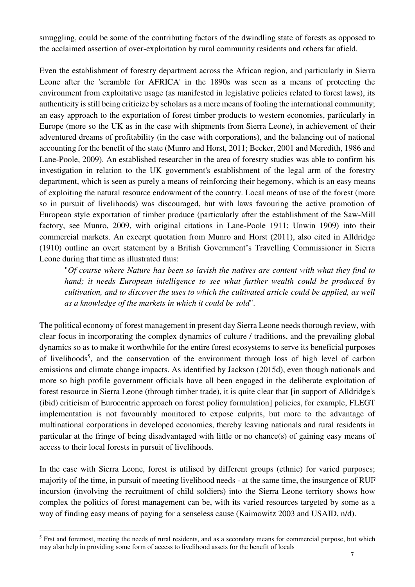smuggling, could be some of the contributing factors of the dwindling state of forests as opposed to the acclaimed assertion of over-exploitation by rural community residents and others far afield.

Even the establishment of forestry department across the African region, and particularly in Sierra Leone after the 'scramble for AFRICA' in the 1890s was seen as a means of protecting the environment from exploitative usage (as manifested in legislative policies related to forest laws), its authenticity is still being criticize by scholars as a mere means of fooling the international community; an easy approach to the exportation of forest timber products to western economies, particularly in Europe (more so the UK as in the case with shipments from Sierra Leone), in achievement of their adventured dreams of profitability (in the case with corporations), and the balancing out of national accounting for the benefit of the state (Munro and Horst, 2011; Becker, 2001 and Meredith, 1986 and Lane-Poole, 2009). An established researcher in the area of forestry studies was able to confirm his investigation in relation to the UK government's establishment of the legal arm of the forestry department, which is seen as purely a means of reinforcing their hegemony, which is an easy means of exploiting the natural resource endowment of the country. Local means of use of the forest (more so in pursuit of livelihoods) was discouraged, but with laws favouring the active promotion of European style exportation of timber produce (particularly after the establishment of the Saw-Mill factory, see Munro, 2009, with original citations in Lane-Poole 1911; Unwin 1909) into their commercial markets. An excerpt quotation from Munro and Horst (2011), also cited in Alldridge (1910) outline an overt statement by a British Government's Travelling Commissioner in Sierra Leone during that time as illustrated thus:

"*Of course where Nature has been so lavish the natives are content with what they find to hand; it needs European intelligence to see what further wealth could be produced by cultivation, and to discover the uses to which the cultivated article could be applied, as well as a knowledge of the markets in which it could be sold*".

The political economy of forest management in present day Sierra Leone needs thorough review, with clear focus in incorporating the complex dynamics of culture / traditions, and the prevailing global dynamics so as to make it worthwhile for the entire forest ecosystems to serve its beneficial purposes of livelihoods<sup>5</sup>, and the conservation of the environment through loss of high level of carbon emissions and climate change impacts. As identified by Jackson (2015d), even though nationals and more so high profile government officials have all been engaged in the deliberate exploitation of forest resource in Sierra Leone (through timber trade), it is quite clear that [in support of Alldridge's (ibid) criticism of Eurocentric approach on forest policy formulation] policies, for example, FLEGT implementation is not favourably monitored to expose culprits, but more to the advantage of multinational corporations in developed economies, thereby leaving nationals and rural residents in particular at the fringe of being disadvantaged with little or no chance(s) of gaining easy means of access to their local forests in pursuit of livelihoods.

In the case with Sierra Leone, forest is utilised by different groups (ethnic) for varied purposes; majority of the time, in pursuit of meeting livelihood needs - at the same time, the insurgence of RUF incursion (involving the recruitment of child soldiers) into the Sierra Leone territory shows how complex the politics of forest management can be, with its varied resources targeted by some as a way of finding easy means of paying for a senseless cause (Kaimowitz 2003 and USAID, n/d).

-

<sup>&</sup>lt;sup>5</sup> Frst and foremost, meeting the needs of rural residents, and as a secondary means for commercial purpose, but which may also help in providing some form of access to livelihood assets for the benefit of locals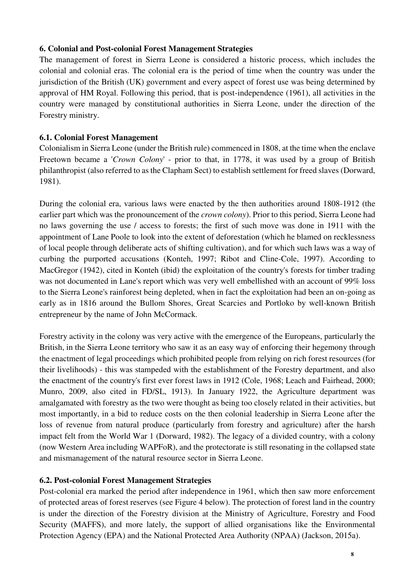#### **6. Colonial and Post-colonial Forest Management Strategies**

The management of forest in Sierra Leone is considered a historic process, which includes the colonial and colonial eras. The colonial era is the period of time when the country was under the jurisdiction of the British (UK) government and every aspect of forest use was being determined by approval of HM Royal. Following this period, that is post-independence (1961), all activities in the country were managed by constitutional authorities in Sierra Leone, under the direction of the Forestry ministry.

#### **6.1. Colonial Forest Management**

Colonialism in Sierra Leone (under the British rule) commenced in 1808, at the time when the enclave Freetown became a '*Crown Colony*' - prior to that, in 1778, it was used by a group of British philanthropist (also referred to as the Clapham Sect) to establish settlement for freed slaves (Dorward, 1981).

During the colonial era, various laws were enacted by the then authorities around 1808-1912 (the earlier part which was the pronouncement of the *crown colony*). Prior to this period, Sierra Leone had no laws governing the use / access to forests; the first of such move was done in 1911 with the appointment of Lane Poole to look into the extent of deforestation (which he blamed on recklessness of local people through deliberate acts of shifting cultivation), and for which such laws was a way of curbing the purported accusations (Konteh, 1997; Ribot and Cline-Cole, 1997). According to MacGregor (1942), cited in Konteh (ibid) the exploitation of the country's forests for timber trading was not documented in Lane's report which was very well embellished with an account of 99% loss to the Sierra Leone's rainforest being depleted, when in fact the exploitation had been an on-going as early as in 1816 around the Bullom Shores, Great Scarcies and Portloko by well-known British entrepreneur by the name of John McCormack.

Forestry activity in the colony was very active with the emergence of the Europeans, particularly the British, in the Sierra Leone territory who saw it as an easy way of enforcing their hegemony through the enactment of legal proceedings which prohibited people from relying on rich forest resources (for their livelihoods) - this was stampeded with the establishment of the Forestry department, and also the enactment of the country's first ever forest laws in 1912 (Cole, 1968; Leach and Fairhead, 2000; Munro, 2009, also cited in FD/SL, 1913). In January 1922, the Agriculture department was amalgamated with forestry as the two were thought as being too closely related in their activities, but most importantly, in a bid to reduce costs on the then colonial leadership in Sierra Leone after the loss of revenue from natural produce (particularly from forestry and agriculture) after the harsh impact felt from the World War 1 (Dorward, 1982). The legacy of a divided country, with a colony (now Western Area including WAPFoR), and the protectorate is still resonating in the collapsed state and mismanagement of the natural resource sector in Sierra Leone.

#### **6.2. Post-colonial Forest Management Strategies**

Post-colonial era marked the period after independence in 1961, which then saw more enforcement of protected areas of forest reserves (see Figure 4 below). The protection of forest land in the country is under the direction of the Forestry division at the Ministry of Agriculture, Forestry and Food Security (MAFFS), and more lately, the support of allied organisations like the Environmental Protection Agency (EPA) and the National Protected Area Authority (NPAA) (Jackson, 2015a).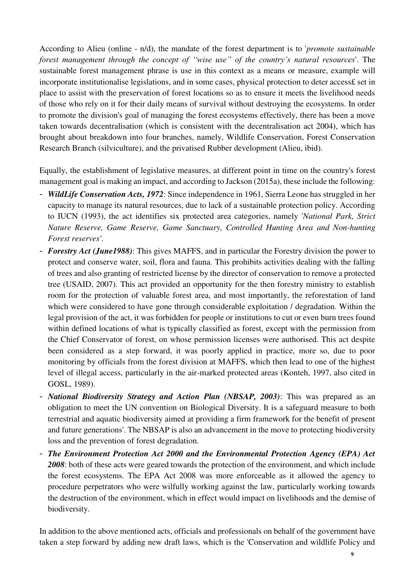According to Alieu (online - n/d), the mandate of the forest department is to '*promote sustainable forest management through the concept of "wise use" of the country's natural resources*'. The sustainable forest management phrase is use in this context as a means or measure, example will incorporate institutionalise legislations, and in some cases, physical protection to deter access£ set in place to assist with the preservation of forest locations so as to ensure it meets the livelihood needs of those who rely on it for their daily means of survival without destroying the ecosystems. In order to promote the division's goal of managing the forest ecosystems effectively, there has been a move taken towards decentralisation (which is consistent with the decentralisation act 2004), which has brought about breakdown into four branches, namely, Wildlife Conservation, Forest Conservation Research Branch (silviculture), and the privatised Rubber development (Alieu, ibid).

Equally, the establishment of legislative measures, at different point in time on the country's forest management goal is making an impact, and according to Jackson (2015a), these include the following:

- *WildLife Conservation Acts, 1972*: Since independence in 1961, Sierra Leone has struggled in her capacity to manage its natural resources, due to lack of a sustainable protection policy. According to IUCN (1993), the act identifies six protected area categories, namely '*National Park, Strict Nature Reserve, Game Reserve, Game Sanctuary, Controlled Hunting Area and Non-hunting Forest reserves'*.
- *Forestry Act (June1988)*: This gives MAFFS, and in particular the Forestry division the power to protect and conserve water, soil, flora and fauna. This prohibits activities dealing with the falling of trees and also granting of restricted license by the director of conservation to remove a protected tree (USAID, 2007). This act provided an opportunity for the then forestry ministry to establish room for the protection of valuable forest area, and most importantly, the reforestation of land which were considered to have gone through considerable exploitation / degradation. Within the legal provision of the act, it was forbidden for people or institutions to cut or even burn trees found within defined locations of what is typically classified as forest, except with the permission from the Chief Conservator of forest, on whose permission licenses were authorised. This act despite been considered as a step forward, it was poorly applied in practice, more so, due to poor monitoring by officials from the forest division at MAFFS, which then lead to one of the highest level of illegal access, particularly in the air-marked protected areas (Konteh, 1997, also cited in GOSL, 1989).
- *National Biodiversity Strategy and Action Plan (NBSAP, 2003)*: This was prepared as an obligation to meet the UN convention on Biological Diversity. It is a safeguard measure to both terrestrial and aquatic biodiversity aimed at providing a firm framework for the benefit of present and future generations'. The NBSAP is also an advancement in the move to protecting biodiversity loss and the prevention of forest degradation.
- *The Environment Protection Act 2000 and the Environmental Protection Agency (EPA) Act 2008*: both of these acts were geared towards the protection of the environment, and which include the forest ecosystems. The EPA Act 2008 was more enforceable as it allowed the agency to procedure perpetrators who were wilfully working against the law, particularly working towards the destruction of the environment, which in effect would impact on livelihoods and the demise of biodiversity.

In addition to the above mentioned acts, officials and professionals on behalf of the government have taken a step forward by adding new draft laws, which is the 'Conservation and wildlife Policy and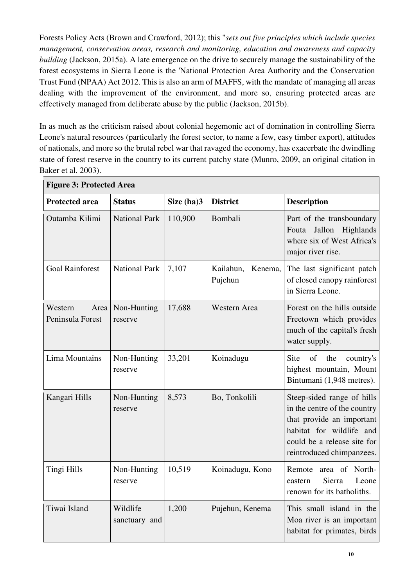Forests Policy Acts (Brown and Crawford, 2012); this "*sets out five principles which include species management, conservation areas, research and monitoring, education and awareness and capacity building* (Jackson, 2015a). A late emergence on the drive to securely manage the sustainability of the forest ecosystems in Sierra Leone is the 'National Protection Area Authority and the Conservation Trust Fund (NPAA) Act 2012. This is also an arm of MAFFS, with the mandate of managing all areas dealing with the improvement of the environment, and more so, ensuring protected areas are effectively managed from deliberate abuse by the public (Jackson, 2015b).

In as much as the criticism raised about colonial hegemonic act of domination in controlling Sierra Leone's natural resources (particularly the forest sector, to name a few, easy timber export), attitudes of nationals, and more so the brutal rebel war that ravaged the economy, has exacerbate the dwindling state of forest reserve in the country to its current patchy state (Munro, 2009, an original citation in Baker et al. 2003).

| $\cdots$                            |                           |            |                                 |                                                                                                                                                                                 |  |  |
|-------------------------------------|---------------------------|------------|---------------------------------|---------------------------------------------------------------------------------------------------------------------------------------------------------------------------------|--|--|
| <b>Protected area</b>               | <b>Status</b>             | Size (ha)3 | <b>District</b>                 | <b>Description</b>                                                                                                                                                              |  |  |
| Outamba Kilimi                      | <b>National Park</b>      | 110,900    | Bombali                         | Part of the transboundary<br>Fouta Jallon Highlands<br>where six of West Africa's<br>major river rise.                                                                          |  |  |
| <b>Goal Rainforest</b>              | <b>National Park</b>      | 7,107      | Kailahun,<br>Kenema,<br>Pujehun | The last significant patch<br>of closed canopy rainforest<br>in Sierra Leone.                                                                                                   |  |  |
| Western<br>Area<br>Peninsula Forest | Non-Hunting<br>reserve    | 17,688     | Western Area                    | Forest on the hills outside<br>Freetown which provides<br>much of the capital's fresh<br>water supply.                                                                          |  |  |
| Lima Mountains                      | Non-Hunting<br>reserve    | 33,201     | Koinadugu                       | Site<br><sub>of</sub><br>the<br>country's<br>highest mountain, Mount<br>Bintumani (1,948 metres).                                                                               |  |  |
| Kangari Hills                       | Non-Hunting<br>reserve    | 8,573      | Bo, Tonkolili                   | Steep-sided range of hills<br>in the centre of the country<br>that provide an important<br>habitat for wildlife and<br>could be a release site for<br>reintroduced chimpanzees. |  |  |
| Tingi Hills                         | Non-Hunting<br>reserve    | 10,519     | Koinadugu, Kono                 | Remote area of North-<br>Sierra<br>Leone<br>eastern<br>renown for its batholiths.                                                                                               |  |  |
| Tiwai Island                        | Wildlife<br>sanctuary and | 1,200      | Pujehun, Kenema                 | This small island in the<br>Moa river is an important<br>habitat for primates, birds                                                                                            |  |  |

**Figure 3: Protected Area**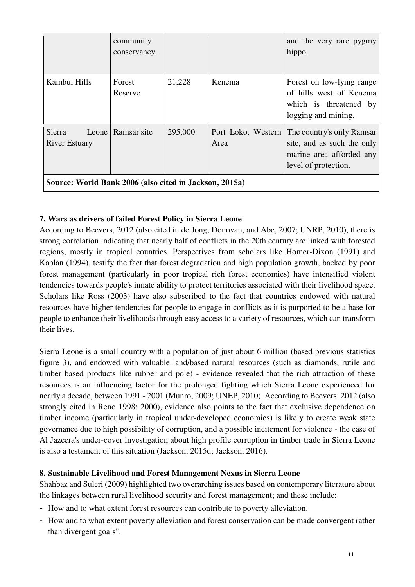|                                                        | community<br>conservancy. |         |        | and the very rare pygmy<br>hippo.                                                                                                |  |  |
|--------------------------------------------------------|---------------------------|---------|--------|----------------------------------------------------------------------------------------------------------------------------------|--|--|
| Kambui Hills                                           | Forest<br>Reserve         | 21,228  | Kenema | Forest on low-lying range<br>of hills west of Kenema<br>which is threatened by<br>logging and mining.                            |  |  |
| Sierra<br><b>River Estuary</b>                         | Leone   Ramsar site       | 295,000 | Area   | Port Loko, Western   The country's only Ramsar<br>site, and as such the only<br>marine area afforded any<br>level of protection. |  |  |
| Source: World Bank 2006 (also cited in Jackson, 2015a) |                           |         |        |                                                                                                                                  |  |  |

# **7. Wars as drivers of failed Forest Policy in Sierra Leone**

According to Beevers, 2012 (also cited in de Jong, Donovan, and Abe, 2007; UNRP, 2010), there is strong correlation indicating that nearly half of conflicts in the 20th century are linked with forested regions, mostly in tropical countries. Perspectives from scholars like Homer-Dixon (1991) and Kaplan (1994), testify the fact that forest degradation and high population growth, backed by poor forest management (particularly in poor tropical rich forest economies) have intensified violent tendencies towards people's innate ability to protect territories associated with their livelihood space. Scholars like Ross (2003) have also subscribed to the fact that countries endowed with natural resources have higher tendencies for people to engage in conflicts as it is purported to be a base for people to enhance their livelihoods through easy access to a variety of resources, which can transform their lives.

Sierra Leone is a small country with a population of just about 6 million (based previous statistics figure 3), and endowed with valuable land/based natural resources (such as diamonds, rutile and timber based products like rubber and pole) - evidence revealed that the rich attraction of these resources is an influencing factor for the prolonged fighting which Sierra Leone experienced for nearly a decade, between 1991 - 2001 (Munro, 2009; UNEP, 2010). According to Beevers. 2012 (also strongly cited in Reno 1998: 2000), evidence also points to the fact that exclusive dependence on timber income (particularly in tropical under-developed economies) is likely to create weak state governance due to high possibility of corruption, and a possible incitement for violence - the case of Al Jazeera's under-cover investigation about high profile corruption in timber trade in Sierra Leone is also a testament of this situation (Jackson, 2015d; Jackson, 2016).

#### **8. Sustainable Livelihood and Forest Management Nexus in Sierra Leone**

Shahbaz and Suleri (2009) highlighted two overarching issues based on contemporary literature about the linkages between rural livelihood security and forest management; and these include:

- How and to what extent forest resources can contribute to poverty alleviation.
- How and to what extent poverty alleviation and forest conservation can be made convergent rather than divergent goals".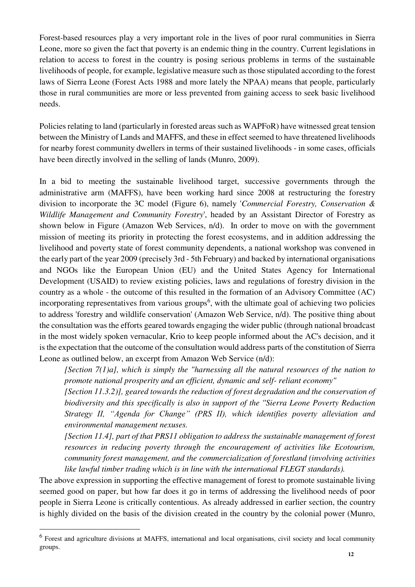Forest-based resources play a very important role in the lives of poor rural communities in Sierra Leone, more so given the fact that poverty is an endemic thing in the country. Current legislations in relation to access to forest in the country is posing serious problems in terms of the sustainable livelihoods of people, for example, legislative measure such as those stipulated according to the forest laws of Sierra Leone (Forest Acts 1988 and more lately the NPAA) means that people, particularly those in rural communities are more or less prevented from gaining access to seek basic livelihood needs.

Policies relating to land (particularly in forested areas such as WAPFoR) have witnessed great tension between the Ministry of Lands and MAFFS, and these in effect seemed to have threatened livelihoods for nearby forest community dwellers in terms of their sustained livelihoods - in some cases, officials have been directly involved in the selling of lands (Munro, 2009).

In a bid to meeting the sustainable livelihood target, successive governments through the administrative arm (MAFFS), have been working hard since 2008 at restructuring the forestry division to incorporate the 3C model (Figure 6), namely '*Commercial Forestry, Conservation & Wildlife Management and Community Forestry*', headed by an Assistant Director of Forestry as shown below in Figure (Amazon Web Services, n/d). In order to move on with the government mission of meeting its priority in protecting the forest ecosystems, and in addition addressing the livelihood and poverty state of forest community dependents, a national workshop was convened in the early part of the year 2009 (precisely 3rd - 5th February) and backed by international organisations and NGOs like the European Union (EU) and the United States Agency for International Development (USAID) to review existing policies, laws and regulations of forestry division in the country as a whole - the outcome of this resulted in the formation of an Advisory Committee (AC) incorporating representatives from various groups<sup>6</sup>, with the ultimate goal of achieving two policies to address 'forestry and wildlife conservation' (Amazon Web Service, n/d). The positive thing about the consultation was the efforts geared towards engaging the wider public (through national broadcast in the most widely spoken vernacular, Krio to keep people informed about the AC's decision, and it is the expectation that the outcome of the consultation would address parts of the constitution of Sierra Leone as outlined below, an excerpt from Amazon Web Service (n/d):

*[Section 7(1)a], which is simply the "harnessing all the natural resources of the nation to promote national prosperity and an efficient, dynamic and self- reliant economy"* 

*[Section 11.3.2)], geared towards the reduction of forest degradation and the conservation of biodiversity and this specifically is also in support of the ''Sierra Leone Poverty Reduction Strategy II, "Agenda for Change" (PRS II), which identifies poverty alleviation and environmental management nexuses.* 

*[Section 11.4], part of that PRS11 obligation to address the sustainable management of forest resources in reducing poverty through the encouragement of activities like Ecotourism, community forest management, and the commercialization of forestland (involving activities like lawful timber trading which is in line with the international FLEGT standards).* 

The above expression in supporting the effective management of forest to promote sustainable living seemed good on paper, but how far does it go in terms of addressing the livelihood needs of poor people in Sierra Leone is critically contentious. As already addressed in earlier section, the country is highly divided on the basis of the division created in the country by the colonial power (Munro,

-

<sup>&</sup>lt;sup>6</sup> Forest and agriculture divisions at MAFFS, international and local organisations, civil society and local community groups.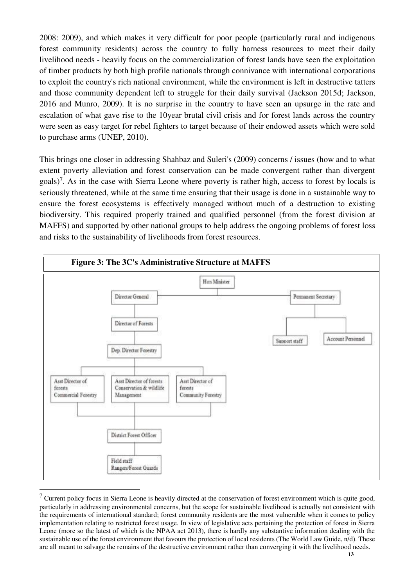2008: 2009), and which makes it very difficult for poor people (particularly rural and indigenous forest community residents) across the country to fully harness resources to meet their daily livelihood needs - heavily focus on the commercialization of forest lands have seen the exploitation of timber products by both high profile nationals through connivance with international corporations to exploit the country's rich national environment, while the environment is left in destructive tatters and those community dependent left to struggle for their daily survival (Jackson 2015d; Jackson, 2016 and Munro, 2009). It is no surprise in the country to have seen an upsurge in the rate and escalation of what gave rise to the 10year brutal civil crisis and for forest lands across the country were seen as easy target for rebel fighters to target because of their endowed assets which were sold to purchase arms (UNEP, 2010).

This brings one closer in addressing Shahbaz and Suleri's (2009) concerns / issues (how and to what extent poverty alleviation and forest conservation can be made convergent rather than divergent goals)<sup>7</sup>. As in the case with Sierra Leone where poverty is rather high, access to forest by locals is seriously threatened, while at the same time ensuring that their usage is done in a sustainable way to ensure the forest ecosystems is effectively managed without much of a destruction to existing biodiversity. This required properly trained and qualified personnel (from the forest division at MAFFS) and supported by other national groups to help address the ongoing problems of forest loss and risks to the sustainability of livelihoods from forest resources.



 $<sup>7</sup>$  Current policy focus in Sierra Leone is heavily directed at the conservation of forest environment which is quite good,</sup> particularly in addressing environmental concerns, but the scope for sustainable livelihood is actually not consistent with the requirements of international standard; forest community residents are the most vulnerable when it comes to policy implementation relating to restricted forest usage. In view of legislative acts pertaining the protection of forest in Sierra Leone (more so the latest of which is the NPAA act 2013), there is hardly any substantive information dealing with the sustainable use of the forest environment that favours the protection of local residents (The World Law Guide, n/d). These are all meant to salvage the remains of the destructive environment rather than converging it with the livelihood needs.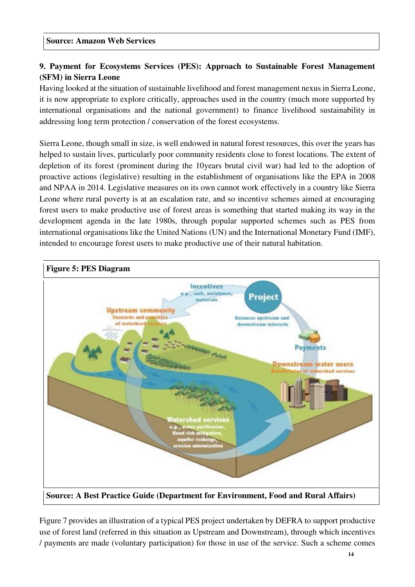# **9. Payment for Ecosystems Services (PES): Approach to Sustainable Forest Management (SFM) in Sierra Leone**

Having looked at the situation of sustainable livelihood and forest management nexus in Sierra Leone, it is now appropriate to explore critically, approaches used in the country (much more supported by international organisations and the national government) to finance livelihood sustainability in addressing long term protection / conservation of the forest ecosystems.

Sierra Leone, though small in size, is well endowed in natural forest resources, this over the years has helped to sustain lives, particularly poor community residents close to forest locations. The extent of depletion of its forest (prominent during the 10years brutal civil war) had led to the adoption of proactive actions (legislative) resulting in the establishment of organisations like the EPA in 2008 and NPAA in 2014. Legislative measures on its own cannot work effectively in a country like Sierra Leone where rural poverty is at an escalation rate, and so incentive schemes aimed at encouraging forest users to make productive use of forest areas is something that started making its way in the development agenda in the late 1980s, through popular supported schemes such as PES from international organisations like the United Nations (UN) and the International Monetary Fund (IMF), intended to encourage forest users to make productive use of their natural habitation.



**Figure 5: PES Diagram**

Figure 7 provides an illustration of a typical PES project undertaken by DEFRA to support productive use of forest land (referred in this situation as Upstream and Downstream), through which incentives / payments are made (voluntary participation) for those in use of the service. Such a scheme comes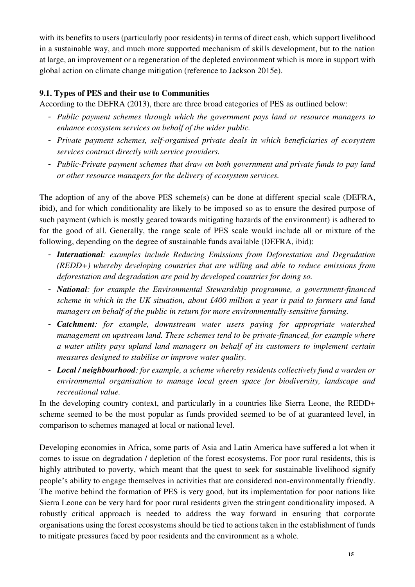with its benefits to users (particularly poor residents) in terms of direct cash, which support livelihood in a sustainable way, and much more supported mechanism of skills development, but to the nation at large, an improvement or a regeneration of the depleted environment which is more in support with global action on climate change mitigation (reference to Jackson 2015e).

# **9.1. Types of PES and their use to Communities**

According to the DEFRA (2013), there are three broad categories of PES as outlined below:

- *- Public payment schemes through which the government pays land or resource managers to enhance ecosystem services on behalf of the wider public.*
- *- Private payment schemes, self-organised private deals in which beneficiaries of ecosystem services contract directly with service providers.*
- *- Public-Private payment schemes that draw on both government and private funds to pay land or other resource managers for the delivery of ecosystem services.*

The adoption of any of the above PES scheme(s) can be done at different special scale (DEFRA, ibid), and for which conditionality are likely to be imposed so as to ensure the desired purpose of such payment (which is mostly geared towards mitigating hazards of the environment) is adhered to for the good of all. Generally, the range scale of PES scale would include all or mixture of the following, depending on the degree of sustainable funds available (DEFRA, ibid):

- *- International: examples include Reducing Emissions from Deforestation and Degradation (REDD+) whereby developing countries that are willing and able to reduce emissions from deforestation and degradation are paid by developed countries for doing so.*
- *- National: for example the Environmental Stewardship programme, a government-financed scheme in which in the UK situation, about £400 million a year is paid to farmers and land managers on behalf of the public in return for more environmentally-sensitive farming.*
- *- Catchment: for example, downstream water users paying for appropriate watershed management on upstream land. These schemes tend to be private-financed, for example where a water utility pays upland land managers on behalf of its customers to implement certain measures designed to stabilise or improve water quality.*
- *- Local / neighbourhood: for example, a scheme whereby residents collectively fund a warden or environmental organisation to manage local green space for biodiversity, landscape and recreational value.*

In the developing country context, and particularly in a countries like Sierra Leone, the REDD+ scheme seemed to be the most popular as funds provided seemed to be of at guaranteed level, in comparison to schemes managed at local or national level.

Developing economies in Africa, some parts of Asia and Latin America have suffered a lot when it comes to issue on degradation / depletion of the forest ecosystems. For poor rural residents, this is highly attributed to poverty, which meant that the quest to seek for sustainable livelihood signify people's ability to engage themselves in activities that are considered non-environmentally friendly. The motive behind the formation of PES is very good, but its implementation for poor nations like Sierra Leone can be very hard for poor rural residents given the stringent conditionality imposed. A robustly critical approach is needed to address the way forward in ensuring that corporate organisations using the forest ecosystems should be tied to actions taken in the establishment of funds to mitigate pressures faced by poor residents and the environment as a whole.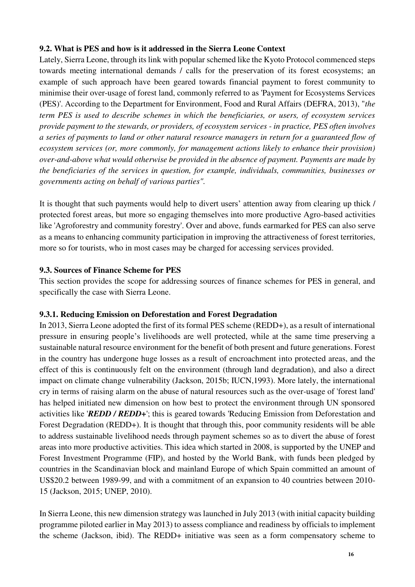### **9.2. What is PES and how is it addressed in the Sierra Leone Context**

Lately, Sierra Leone, through its link with popular schemed like the Kyoto Protocol commenced steps towards meeting international demands / calls for the preservation of its forest ecosystems; an example of such approach have been geared towards financial payment to forest community to minimise their over-usage of forest land, commonly referred to as 'Payment for Ecosystems Services (PES)'. According to the Department for Environment, Food and Rural Affairs (DEFRA, 2013), "*the term PES is used to describe schemes in which the beneficiaries, or users, of ecosystem services provide payment to the stewards, or providers, of ecosystem services - in practice, PES often involves a series of payments to land or other natural resource managers in return for a guaranteed flow of ecosystem services (or, more commonly, for management actions likely to enhance their provision) over-and-above what would otherwise be provided in the absence of payment. Payments are made by the beneficiaries of the services in question, for example, individuals, communities, businesses or governments acting on behalf of various parties".* 

It is thought that such payments would help to divert users' attention away from clearing up thick / protected forest areas, but more so engaging themselves into more productive Agro-based activities like 'Agroforestry and community forestry'. Over and above, funds earmarked for PES can also serve as a means to enhancing community participation in improving the attractiveness of forest territories, more so for tourists, who in most cases may be charged for accessing services provided.

#### **9.3. Sources of Finance Scheme for PES**

This section provides the scope for addressing sources of finance schemes for PES in general, and specifically the case with Sierra Leone.

#### **9.3.1. Reducing Emission on Deforestation and Forest Degradation**

In 2013, Sierra Leone adopted the first of its formal PES scheme (REDD+), as a result of international pressure in ensuring people's livelihoods are well protected, while at the same time preserving a sustainable natural resource environment for the benefit of both present and future generations. Forest in the country has undergone huge losses as a result of encroachment into protected areas, and the effect of this is continuously felt on the environment (through land degradation), and also a direct impact on climate change vulnerability (Jackson, 2015b; IUCN,1993). More lately, the international cry in terms of raising alarm on the abuse of natural resources such as the over-usage of 'forest land' has helped initiated new dimension on how best to protect the environment through UN sponsored activities like '*REDD / REDD+*'; this is geared towards 'Reducing Emission from Deforestation and Forest Degradation (REDD+). It is thought that through this, poor community residents will be able to address sustainable livelihood needs through payment schemes so as to divert the abuse of forest areas into more productive activities. This idea which started in 2008, is supported by the UNEP and Forest Investment Programme (FIP), and hosted by the World Bank, with funds been pledged by countries in the Scandinavian block and mainland Europe of which Spain committed an amount of US\$20.2 between 1989-99, and with a commitment of an expansion to 40 countries between 2010- 15 (Jackson, 2015; UNEP, 2010).

In Sierra Leone, this new dimension strategy was launched in July 2013 (with initial capacity building programme piloted earlier in May 2013) to assess compliance and readiness by officials to implement the scheme (Jackson, ibid). The REDD+ initiative was seen as a form compensatory scheme to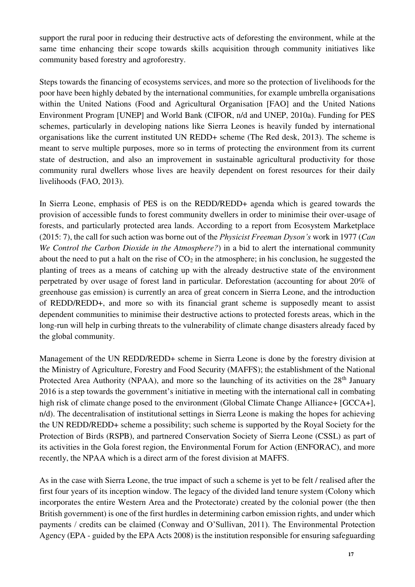support the rural poor in reducing their destructive acts of deforesting the environment, while at the same time enhancing their scope towards skills acquisition through community initiatives like community based forestry and agroforestry.

Steps towards the financing of ecosystems services, and more so the protection of livelihoods for the poor have been highly debated by the international communities, for example umbrella organisations within the United Nations (Food and Agricultural Organisation [FAO] and the United Nations Environment Program [UNEP] and World Bank (CIFOR, n/d and UNEP, 2010a). Funding for PES schemes, particularly in developing nations like Sierra Leones is heavily funded by international organisations like the current instituted UN REDD+ scheme (The Red desk, 2013). The scheme is meant to serve multiple purposes, more so in terms of protecting the environment from its current state of destruction, and also an improvement in sustainable agricultural productivity for those community rural dwellers whose lives are heavily dependent on forest resources for their daily livelihoods (FAO, 2013).

In Sierra Leone, emphasis of PES is on the REDD/REDD+ agenda which is geared towards the provision of accessible funds to forest community dwellers in order to minimise their over-usage of forests, and particularly protected area lands. According to a report from Ecosystem Marketplace (2015: 7), the call for such action was borne out of the *Physicist Freeman Dyson's* work in 1977 (*Can We Control the Carbon Dioxide in the Atmosphere?*) in a bid to alert the international community about the need to put a halt on the rise of  $CO<sub>2</sub>$  in the atmosphere; in his conclusion, he suggested the planting of trees as a means of catching up with the already destructive state of the environment perpetrated by over usage of forest land in particular. Deforestation (accounting for about 20% of greenhouse gas emission) is currently an area of great concern in Sierra Leone, and the introduction of REDD/REDD+, and more so with its financial grant scheme is supposedly meant to assist dependent communities to minimise their destructive actions to protected forests areas, which in the long-run will help in curbing threats to the vulnerability of climate change disasters already faced by the global community.

Management of the UN REDD/REDD+ scheme in Sierra Leone is done by the forestry division at the Ministry of Agriculture, Forestry and Food Security (MAFFS); the establishment of the National Protected Area Authority (NPAA), and more so the launching of its activities on the 28<sup>th</sup> January 2016 is a step towards the government's initiative in meeting with the international call in combating high risk of climate change posed to the environment (Global Climate Change Alliance+ [GCCA+], n/d). The decentralisation of institutional settings in Sierra Leone is making the hopes for achieving the UN REDD/REDD+ scheme a possibility; such scheme is supported by the Royal Society for the Protection of Birds (RSPB), and partnered Conservation Society of Sierra Leone (CSSL) as part of its activities in the Gola forest region, the Environmental Forum for Action (ENFORAC), and more recently, the NPAA which is a direct arm of the forest division at MAFFS.

As in the case with Sierra Leone, the true impact of such a scheme is yet to be felt / realised after the first four years of its inception window. The legacy of the divided land tenure system (Colony which incorporates the entire Western Area and the Protectorate) created by the colonial power (the then British government) is one of the first hurdles in determining carbon emission rights, and under which payments / credits can be claimed (Conway and O'Sullivan, 2011). The Environmental Protection Agency (EPA - guided by the EPA Acts 2008) is the institution responsible for ensuring safeguarding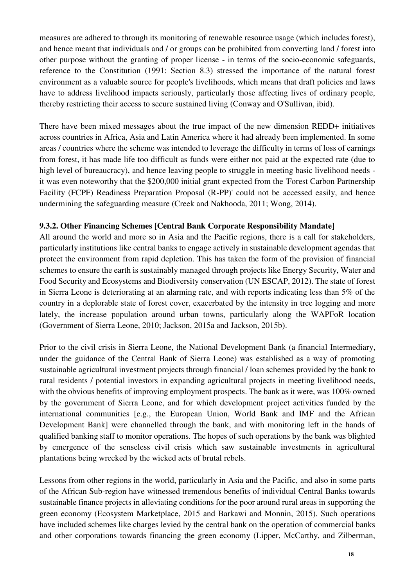measures are adhered to through its monitoring of renewable resource usage (which includes forest), and hence meant that individuals and / or groups can be prohibited from converting land / forest into other purpose without the granting of proper license - in terms of the socio-economic safeguards, reference to the Constitution (1991: Section 8.3) stressed the importance of the natural forest environment as a valuable source for people's livelihoods, which means that draft policies and laws have to address livelihood impacts seriously, particularly those affecting lives of ordinary people, thereby restricting their access to secure sustained living (Conway and O'Sullivan, ibid).

There have been mixed messages about the true impact of the new dimension REDD+ initiatives across countries in Africa, Asia and Latin America where it had already been implemented. In some areas / countries where the scheme was intended to leverage the difficulty in terms of loss of earnings from forest, it has made life too difficult as funds were either not paid at the expected rate (due to high level of bureaucracy), and hence leaving people to struggle in meeting basic livelihood needs it was even noteworthy that the \$200,000 initial grant expected from the 'Forest Carbon Partnership Facility (FCPF) Readiness Preparation Proposal (R-PP)' could not be accessed easily, and hence undermining the safeguarding measure (Creek and Nakhooda, 2011; Wong, 2014).

#### **9.3.2. Other Financing Schemes [Central Bank Corporate Responsibility Mandate]**

All around the world and more so in Asia and the Pacific regions, there is a call for stakeholders, particularly institutions like central banks to engage actively in sustainable development agendas that protect the environment from rapid depletion. This has taken the form of the provision of financial schemes to ensure the earth is sustainably managed through projects like Energy Security, Water and Food Security and Ecosystems and Biodiversity conservation (UN ESCAP, 2012). The state of forest in Sierra Leone is deteriorating at an alarming rate, and with reports indicating less than 5% of the country in a deplorable state of forest cover, exacerbated by the intensity in tree logging and more lately, the increase population around urban towns, particularly along the WAPFoR location (Government of Sierra Leone, 2010; Jackson, 2015a and Jackson, 2015b).

Prior to the civil crisis in Sierra Leone, the National Development Bank (a financial Intermediary, under the guidance of the Central Bank of Sierra Leone) was established as a way of promoting sustainable agricultural investment projects through financial / loan schemes provided by the bank to rural residents / potential investors in expanding agricultural projects in meeting livelihood needs, with the obvious benefits of improving employment prospects. The bank as it were, was 100% owned by the government of Sierra Leone, and for which development project activities funded by the international communities [e.g., the European Union, World Bank and IMF and the African Development Bank] were channelled through the bank, and with monitoring left in the hands of qualified banking staff to monitor operations. The hopes of such operations by the bank was blighted by emergence of the senseless civil crisis which saw sustainable investments in agricultural plantations being wrecked by the wicked acts of brutal rebels.

Lessons from other regions in the world, particularly in Asia and the Pacific, and also in some parts of the African Sub-region have witnessed tremendous benefits of individual Central Banks towards sustainable finance projects in alleviating conditions for the poor around rural areas in supporting the green economy (Ecosystem Marketplace, 2015 and Barkawi and Monnin, 2015). Such operations have included schemes like charges levied by the central bank on the operation of commercial banks and other corporations towards financing the green economy (Lipper, McCarthy, and Zilberman,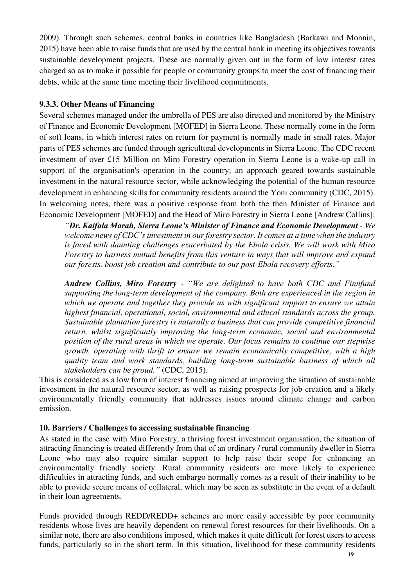2009). Through such schemes, central banks in countries like Bangladesh (Barkawi and Monnin, 2015) have been able to raise funds that are used by the central bank in meeting its objectives towards sustainable development projects. These are normally given out in the form of low interest rates charged so as to make it possible for people or community groups to meet the cost of financing their debts, while at the same time meeting their livelihood commitments.

#### **9.3.3. Other Means of Financing**

Several schemes managed under the umbrella of PES are also directed and monitored by the Ministry of Finance and Economic Development [MOFED] in Sierra Leone. These normally come in the form of soft loans, in which interest rates on return for payment is normally made in small rates. Major parts of PES schemes are funded through agricultural developments in Sierra Leone. The CDC recent investment of over £15 Million on Miro Forestry operation in Sierra Leone is a wake-up call in support of the organisation's operation in the country; an approach geared towards sustainable investment in the natural resource sector, while acknowledging the potential of the human resource development in enhancing skills for community residents around the Yoni community (CDC, 2015). In welcoming notes, there was a positive response from both the then Minister of Finance and Economic Development [MOFED] and the Head of Miro Forestry in Sierra Leone [Andrew Collins]:

*"Dr. Kaifala Marah, Sierra Leone's Minister of Finance and Economic Development - We welcome news of CDC's investment in our forestry sector. It comes at a time when the industry is faced with daunting challenges exacerbated by the Ebola crisis. We will work with Miro Forestry to harness mutual benefits from this venture in ways that will improve and expand our forests, boost job creation and contribute to our post-Ebola recovery efforts."* 

*Andrew Collins, Miro Forestry - "We are delighted to have both CDC and Finnfund supporting the long-term development of the company. Both are experienced in the region in which we operate and together they provide us with significant support to ensure we attain highest financial, operational, social, environmental and ethical standards across the group. Sustainable plantation forestry is naturally a business that can provide competitive financial return, whilst significantly improving the long-term economic, social and environmental position of the rural areas in which we operate. Our focus remains to continue our stepwise growth, operating with thrift to ensure we remain economically competitive, with a high quality team and work standards, building long-term sustainable business of which all stakeholders can be proud."* (CDC, 2015).

This is considered as a low form of interest financing aimed at improving the situation of sustainable investment in the natural resource sector, as well as raising prospects for job creation and a likely environmentally friendly community that addresses issues around climate change and carbon emission.

#### **10. Barriers / Challenges to accessing sustainable financing**

As stated in the case with Miro Forestry, a thriving forest investment organisation, the situation of attracting financing is treated differently from that of an ordinary / rural community dweller in Sierra Leone who may also require similar support to help raise their scope for enhancing an environmentally friendly society. Rural community residents are more likely to experience difficulties in attracting funds, and such embargo normally comes as a result of their inability to be able to provide secure means of collateral, which may be seen as substitute in the event of a default in their loan agreements.

Funds provided through REDD/REDD+ schemes are more easily accessible by poor community residents whose lives are heavily dependent on renewal forest resources for their livelihoods. On a similar note, there are also conditions imposed, which makes it quite difficult for forest users to access funds, particularly so in the short term. In this situation, livelihood for these community residents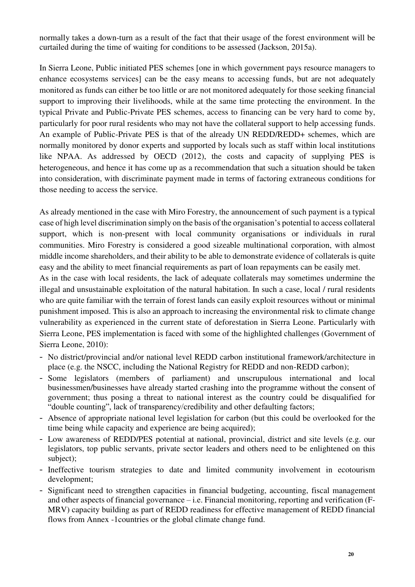normally takes a down-turn as a result of the fact that their usage of the forest environment will be curtailed during the time of waiting for conditions to be assessed (Jackson, 2015a).

In Sierra Leone, Public initiated PES schemes [one in which government pays resource managers to enhance ecosystems services] can be the easy means to accessing funds, but are not adequately monitored as funds can either be too little or are not monitored adequately for those seeking financial support to improving their livelihoods, while at the same time protecting the environment. In the typical Private and Public-Private PES schemes, access to financing can be very hard to come by, particularly for poor rural residents who may not have the collateral support to help accessing funds. An example of Public-Private PES is that of the already UN REDD/REDD+ schemes, which are normally monitored by donor experts and supported by locals such as staff within local institutions like NPAA. As addressed by OECD (2012), the costs and capacity of supplying PES is heterogeneous, and hence it has come up as a recommendation that such a situation should be taken into consideration, with discriminate payment made in terms of factoring extraneous conditions for those needing to access the service.

As already mentioned in the case with Miro Forestry, the announcement of such payment is a typical case of high level discrimination simply on the basis of the organisation's potential to access collateral support, which is non-present with local community organisations or individuals in rural communities. Miro Forestry is considered a good sizeable multinational corporation, with almost middle income shareholders, and their ability to be able to demonstrate evidence of collaterals is quite easy and the ability to meet financial requirements as part of loan repayments can be easily met.

As in the case with local residents, the lack of adequate collaterals may sometimes undermine the illegal and unsustainable exploitation of the natural habitation. In such a case, local / rural residents who are quite familiar with the terrain of forest lands can easily exploit resources without or minimal punishment imposed. This is also an approach to increasing the environmental risk to climate change vulnerability as experienced in the current state of deforestation in Sierra Leone. Particularly with Sierra Leone, PES implementation is faced with some of the highlighted challenges (Government of Sierra Leone, 2010):

- No district/provincial and/or national level REDD carbon institutional framework/architecture in place (e.g. the NSCC, including the National Registry for REDD and non-REDD carbon);
- Some legislators (members of parliament) and unscrupulous international and local businessmen/businesses have already started crashing into the programme without the consent of government; thus posing a threat to national interest as the country could be disqualified for "double counting", lack of transparency/credibility and other defaulting factors;
- Absence of appropriate national level legislation for carbon (but this could be overlooked for the time being while capacity and experience are being acquired);
- Low awareness of REDD/PES potential at national, provincial, district and site levels (e.g. our legislators, top public servants, private sector leaders and others need to be enlightened on this subject);
- Ineffective tourism strategies to date and limited community involvement in ecotourism development;
- Significant need to strengthen capacities in financial budgeting, accounting, fiscal management and other aspects of financial governance – i.e. Financial monitoring, reporting and verification (F-MRV) capacity building as part of REDD readiness for effective management of REDD financial flows from Annex -1countries or the global climate change fund.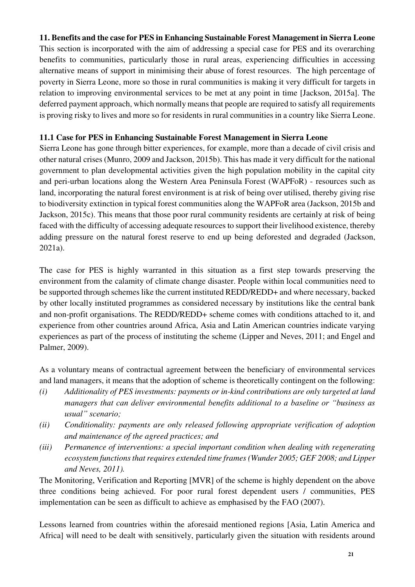### **11. Benefits and the case for PES in Enhancing Sustainable Forest Management in Sierra Leone**

This section is incorporated with the aim of addressing a special case for PES and its overarching benefits to communities, particularly those in rural areas, experiencing difficulties in accessing alternative means of support in minimising their abuse of forest resources. The high percentage of poverty in Sierra Leone, more so those in rural communities is making it very difficult for targets in relation to improving environmental services to be met at any point in time [Jackson, 2015a]. The deferred payment approach, which normally means that people are required to satisfy all requirements is proving risky to lives and more so for residents in rural communities in a country like Sierra Leone.

#### **11.1 Case for PES in Enhancing Sustainable Forest Management in Sierra Leone**

Sierra Leone has gone through bitter experiences, for example, more than a decade of civil crisis and other natural crises (Munro, 2009 and Jackson, 2015b). This has made it very difficult for the national government to plan developmental activities given the high population mobility in the capital city and peri-urban locations along the Western Area Peninsula Forest (WAPFoR) - resources such as land, incorporating the natural forest environment is at risk of being over utilised, thereby giving rise to biodiversity extinction in typical forest communities along the WAPFoR area (Jackson, 2015b and Jackson, 2015c). This means that those poor rural community residents are certainly at risk of being faced with the difficulty of accessing adequate resources to support their livelihood existence, thereby adding pressure on the natural forest reserve to end up being deforested and degraded (Jackson, 2021a).

The case for PES is highly warranted in this situation as a first step towards preserving the environment from the calamity of climate change disaster. People within local communities need to be supported through schemes like the current instituted REDD/REDD+ and where necessary, backed by other locally instituted programmes as considered necessary by institutions like the central bank and non-profit organisations. The REDD/REDD+ scheme comes with conditions attached to it, and experience from other countries around Africa, Asia and Latin American countries indicate varying experiences as part of the process of instituting the scheme (Lipper and Neves, 2011; and Engel and Palmer, 2009).

As a voluntary means of contractual agreement between the beneficiary of environmental services and land managers, it means that the adoption of scheme is theoretically contingent on the following:

- *(i) Additionality of PES investments: payments or in-kind contributions are only targeted at land managers that can deliver environmental benefits additional to a baseline or "business as usual" scenario;*
- *(ii) Conditionality: payments are only released following appropriate verification of adoption and maintenance of the agreed practices; and*
- *(iii) Permanence of interventions: a special important condition when dealing with regenerating ecosystem functions that requires extended time frames (Wunder 2005; GEF 2008; and Lipper and Neves, 2011).*

The Monitoring, Verification and Reporting [MVR] of the scheme is highly dependent on the above three conditions being achieved. For poor rural forest dependent users / communities, PES implementation can be seen as difficult to achieve as emphasised by the FAO (2007).

Lessons learned from countries within the aforesaid mentioned regions [Asia, Latin America and Africa] will need to be dealt with sensitively, particularly given the situation with residents around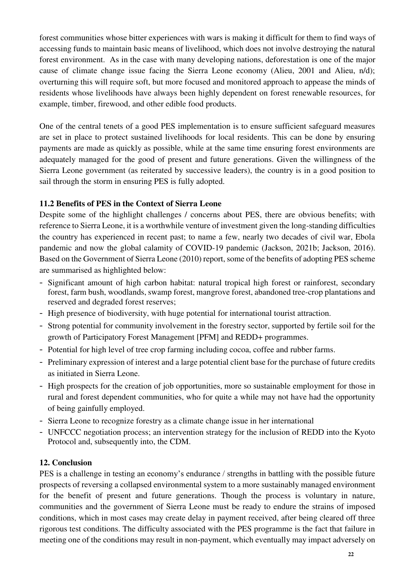forest communities whose bitter experiences with wars is making it difficult for them to find ways of accessing funds to maintain basic means of livelihood, which does not involve destroying the natural forest environment. As in the case with many developing nations, deforestation is one of the major cause of climate change issue facing the Sierra Leone economy (Alieu, 2001 and Alieu, n/d); overturning this will require soft, but more focused and monitored approach to appease the minds of residents whose livelihoods have always been highly dependent on forest renewable resources, for example, timber, firewood, and other edible food products.

One of the central tenets of a good PES implementation is to ensure sufficient safeguard measures are set in place to protect sustained livelihoods for local residents. This can be done by ensuring payments are made as quickly as possible, while at the same time ensuring forest environments are adequately managed for the good of present and future generations. Given the willingness of the Sierra Leone government (as reiterated by successive leaders), the country is in a good position to sail through the storm in ensuring PES is fully adopted.

### **11.2 Benefits of PES in the Context of Sierra Leone**

Despite some of the highlight challenges / concerns about PES, there are obvious benefits; with reference to Sierra Leone, it is a worthwhile venture of investment given the long-standing difficulties the country has experienced in recent past; to name a few, nearly two decades of civil war, Ebola pandemic and now the global calamity of COVID-19 pandemic (Jackson, 2021b; Jackson, 2016). Based on the Government of Sierra Leone (2010) report, some of the benefits of adopting PES scheme are summarised as highlighted below:

- Significant amount of high carbon habitat: natural tropical high forest or rainforest, secondary forest, farm bush, woodlands, swamp forest, mangrove forest, abandoned tree-crop plantations and reserved and degraded forest reserves;
- High presence of biodiversity, with huge potential for international tourist attraction.
- Strong potential for community involvement in the forestry sector, supported by fertile soil for the growth of Participatory Forest Management [PFM] and REDD+ programmes.
- Potential for high level of tree crop farming including cocoa, coffee and rubber farms.
- Preliminary expression of interest and a large potential client base for the purchase of future credits as initiated in Sierra Leone.
- High prospects for the creation of job opportunities, more so sustainable employment for those in rural and forest dependent communities, who for quite a while may not have had the opportunity of being gainfully employed.
- Sierra Leone to recognize forestry as a climate change issue in her international
- UNFCCC negotiation process; an intervention strategy for the inclusion of REDD into the Kyoto Protocol and, subsequently into, the CDM.

# **12. Conclusion**

PES is a challenge in testing an economy's endurance / strengths in battling with the possible future prospects of reversing a collapsed environmental system to a more sustainably managed environment for the benefit of present and future generations. Though the process is voluntary in nature, communities and the government of Sierra Leone must be ready to endure the strains of imposed conditions, which in most cases may create delay in payment received, after being cleared off three rigorous test conditions. The difficulty associated with the PES programme is the fact that failure in meeting one of the conditions may result in non-payment, which eventually may impact adversely on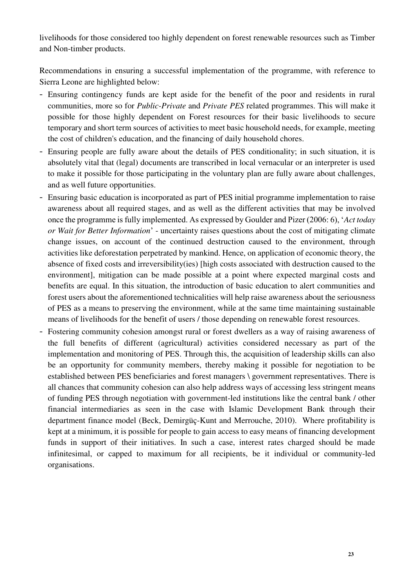livelihoods for those considered too highly dependent on forest renewable resources such as Timber and Non-timber products.

Recommendations in ensuring a successful implementation of the programme, with reference to Sierra Leone are highlighted below:

- Ensuring contingency funds are kept aside for the benefit of the poor and residents in rural communities, more so for *Public-Private* and *Private PES* related programmes. This will make it possible for those highly dependent on Forest resources for their basic livelihoods to secure temporary and short term sources of activities to meet basic household needs, for example, meeting the cost of children's education, and the financing of daily household chores.
- Ensuring people are fully aware about the details of PES conditionality; in such situation, it is absolutely vital that (legal) documents are transcribed in local vernacular or an interpreter is used to make it possible for those participating in the voluntary plan are fully aware about challenges, and as well future opportunities.
- Ensuring basic education is incorporated as part of PES initial programme implementation to raise awareness about all required stages, and as well as the different activities that may be involved once the programme is fully implemented. As expressed by Goulder and Pizer (2006: 6), '*Act today or Wait for Better Information*' - uncertainty raises questions about the cost of mitigating climate change issues, on account of the continued destruction caused to the environment, through activities like deforestation perpetrated by mankind. Hence, on application of economic theory, the absence of fixed costs and irreversibility(ies) [high costs associated with destruction caused to the environment], mitigation can be made possible at a point where expected marginal costs and benefits are equal. In this situation, the introduction of basic education to alert communities and forest users about the aforementioned technicalities will help raise awareness about the seriousness of PES as a means to preserving the environment, while at the same time maintaining sustainable means of livelihoods for the benefit of users / those depending on renewable forest resources.
- Fostering community cohesion amongst rural or forest dwellers as a way of raising awareness of the full benefits of different (agricultural) activities considered necessary as part of the implementation and monitoring of PES. Through this, the acquisition of leadership skills can also be an opportunity for community members, thereby making it possible for negotiation to be established between PES beneficiaries and forest managers \ government representatives. There is all chances that community cohesion can also help address ways of accessing less stringent means of funding PES through negotiation with government-led institutions like the central bank / other financial intermediaries as seen in the case with Islamic Development Bank through their department finance model (Beck, Demirgüç-Kunt and Merrouche, 2010). Where profitability is kept at a minimum, it is possible for people to gain access to easy means of financing development funds in support of their initiatives. In such a case, interest rates charged should be made infinitesimal, or capped to maximum for all recipients, be it individual or community-led organisations.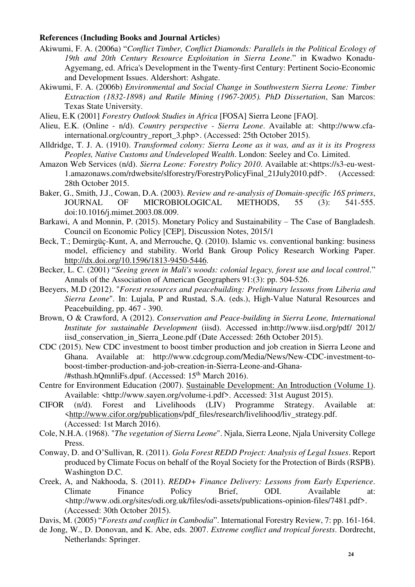#### **References (Including Books and Journal Articles)**

- Akiwumi, F. A. (2006a) "*Conflict Timber, Conflict Diamonds: Parallels in the Political Ecology of 19th and 20th Century Resource Exploitation in Sierra Leone*." in Kwadwo Konadu-Agyemang, ed. Africa's Development in the Twenty-first Century: Pertinent Socio-Economic and Development Issues. Aldershort: Ashgate.
- Akiwumi, F. A. (2006b) *Environmental and Social Change in Southwestern Sierra Leone: Timber Extraction (1832-1898) and Rutile Mining (1967-2005). PhD Dissertation*, San Marcos: Texas State University.
- Alieu, E.K (2001] *Forestry Outlook Studies in Africa* [FOSA] Sierra Leone [FAO].
- Alieu, E.K. (Online n/d). *Country perspective Sierra Leone*. Available at: <http://www.cfainternational.org/country\_report\_3.php>. (Accessed: 25th October 2015).
- Alldridge, T. J. A. (1910). *Transformed colony: Sierra Leone as it was, and as it is its Progress Peoples, Native Customs and Undeveloped Wealth*. London: Seeley and Co. Limited.
- Amazon Web Services (n/d). *Sierra Leone: Forestry Policy 2010*. Available at:<https://s3-eu-west-1.amazonaws.com/rdwebsite/slforestry/ForestryPolicyFinal\_21July2010.pdf>. (Accessed: 28th October 2015.
- Baker, G., Smith, J.J., Cowan, D.A. (2003). *Review and re-analysis of Domain-specific 16S primers*, JOURNAL OF MICROBIOLOGICAL METHODS, 55 (3): 541-555. doi:10.1016/j.mimet.2003.08.009.
- Barkawi, A and Monnin, P. (2015). Monetary Policy and Sustainability The Case of Bangladesh. Council on Economic Policy [CEP], Discussion Notes, 2015/1
- Beck, T.; Demirgüç-Kunt, A, and Merrouche, Q. (2010). Islamic vs. conventional banking: business model, efficiency and stability. World Bank Group Policy Research Working Paper. [http://dx.doi.org/10.1596/1813-9450-5446.](http://dx.doi.org/10.1596/1813-9450-5446)
- Becker, L. C. (2001) "*Seeing green in Mali's woods: colonial legacy, forest use and local control*." Annals of the Association of American Geographers 91:(3): pp. 504-526.
- Beeyers, M.D (2012). "*Forest resources and peacebuilding: Preliminary lessons from Liberia and Sierra Leone*". In: Lujala, P and Rustad, S.A. (eds.), High-Value Natural Resources and Peacebuilding, pp. 467 - 390.
- Brown, O & Crawford, A (2012). *Conservation and Peace-building in Sierra Leone, International Institute for sustainable Development* (iisd). Accessed in:http://www.iisd.org/pdf/ 2012/ iisd conservation in Sierra Leone.pdf (Date Accessed: 26th October 2015).
- CDC (2015). New CDC investment to boost timber production and job creation in Sierra Leone and Ghana. Available at: http://www.cdcgroup.com/Media/News/New-CDC-investment-toboost-timber-production-and-job-creation-in-Sierra-Leone-and-Ghana- /#sthash.hQmnliFs.dpuf. (Accessed: 15<sup>th</sup> March 2016).
- Centre for Environment Education (2007). Sustainable Development: An Introduction (Volume 1). Available: <http://www.sayen.org/volume-i.pdf>. Accessed: 31st August 2015).
- CIFOR (n/d). Forest and Livelihoods (LIV) Programme Strategy. Available at: <http://www.cifor.org/publications/pdf\_files/research/livelihood/liv\_strategy.pdf. (Accessed: 1st March 2016).
- Cole, N.H.A. (1968). "*The vegetation of Sierra Leone*". Njala, Sierra Leone, Njala University College Press.
- Conway, D. and O'Sullivan, R. (2011). *Gola Forest REDD Project: Analysis of Legal Issues*. Report produced by Climate Focus on behalf of the Royal Society for the Protection of Birds (RSPB). Washington D.C.
- Creek, A, and Nakhooda, S. (2011). *REDD+ Finance Delivery: Lessons from Early Experience*. Climate Finance Policy Brief, ODI. Available at: <http://www.odi.org/sites/odi.org.uk/files/odi-assets/publications-opinion-files/7481.pdf>. (Accessed: 30th October 2015).
- Davis, M. (2005) "*Forests and conflict in Cambodia*". International Forestry Review, 7: pp. 161-164.
- de Jong, W., D. Donovan, and K. Abe, eds. 2007. *Extreme conflict and tropical forests*. Dordrecht, Netherlands: Springer.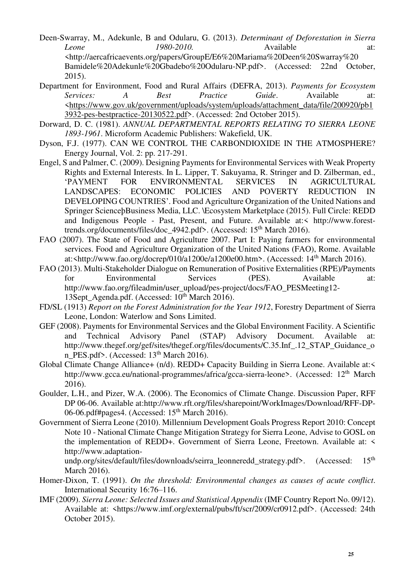- Deen-Swarray, M., Adekunle, B and Odularu, G. (2013). *Determinant of Deforestation in Sierra Leone 1980-2010.* Available at: <http://aercafricaevents.org/papers/GroupE/E6%20Mariama%20Deen%20Swarray%20 Bamidele%20Adekunle%20Gbadebo%20Odularu-NP.pdf>. (Accessed: 22nd October, 2015).
- Department for Environment, Food and Rural Affairs (DEFRA, 2013). *Payments for Ecosystem Services: A Best Practice Guide*. Available at: <https://www.gov.uk/government/uploads/system/uploads/attachment\_data/file/200920/pb1 3932-pes-bestpractice-20130522.pdf>. (Accessed: 2nd October 2015).
- Dorward, D. C. (1981). *ANNUAL DEPARTMENTAL REPORTS RELATING TO SIERRA LEONE 1893-1961*. Microform Academic Publishers: Wakefield, UK.
- Dyson, F.J. (1977). CAN WE CONTROL THE CARBONDIOXIDE IN THE ATMOSPHERE? Energy Journal, Vol. 2: pp. 217-291.
- Engel, S and Palmer, C. (2009). Designing Payments for Environmental Services with Weak Property Rights and External Interests. In L. Lipper, T. Sakuyama, R. Stringer and D. Zilberman, ed., 'PAYMENT FOR ENVIRONMENTAL SERVICES IN AGRICULTURAL LANDSCAPES: ECONOMIC POLICIES AND POVERTY REDUCTION IN DEVELOPING COUNTRIES'. Food and Agriculture Organization of the United Nations and Springer ScienceþBusiness Media, LLC. \Ecosystem Marketplace (2015). Full Circle: REDD and Indigenous People - Past, Present, and Future. Available at:< http://www.foresttrends.org/documents/files/doc\_4942.pdf>. (Accessed: 15<sup>th</sup> March 2016).
- FAO (2007). The State of Food and Agriculture 2007. Part I: Paying farmers for environmental services. Food and Agriculture Organization of the United Nations (FAO), Rome. Available at:  $\frac{\text{http://www.fao.org/docrep/010/a1200e/a1200e00.htm>}{\text{Atm}}$ . (Accessed: 14<sup>th</sup> March 2016).
- FAO (2013). Multi-Stakeholder Dialogue on Remuneration of Positive Externalities (RPE)/Payments for Environmental Services (PES). Available at: http://www.fao.org/fileadmin/user\_upload/pes-project/docs/FAO\_PESMeeting12- 13Sept\_Agenda.pdf. (Accessed: 10<sup>th</sup> March 2016).
- FD/SL (1913) *Report on the Forest Administration for the Year 1912*, Forestry Department of Sierra Leone, London: Waterlow and Sons Limited.
- GEF (2008). Payments for Environmental Services and the Global Environment Facility. A Scientific and Technical Advisory Panel (STAP) Advisory Document. Available at: http://www.thegef.org/gef/sites/thegef.org/files/documents/C.35.Inf\_.12\_STAP\_Guidance\_o n\_PES.pdf>. (Accessed:  $13<sup>th</sup>$  March 2016).
- Global Climate Change Alliance+ (n/d). REDD+ Capacity Building in Sierra Leone. Available at:< http://www.gcca.eu/national-programmes/africa/gcca-sierra-leone>. (Accessed: 12<sup>th</sup> March 2016).
- Goulder, L.H., and Pizer, W.A. (2006). The Economics of Climate Change. Discussion Paper, RFF DP 06-06. Available at:http://www.rft.org/files/sharepoint/WorkImages/Download/RFF-DP-06-06.pdf#pages4. (Accessed: 15<sup>th</sup> March 2016).
- Government of Sierra Leone (2010). Millennium Development Goals Progress Report 2010: Concept Note 10 - National Climate Change Mitigation Strategy for Sierra Leone, Advise to GOSL on the implementation of REDD+. Government of Sierra Leone, Freetown. Available at: < http://www.adaptation-

undp.org/sites/default/files/downloads/seirra\_leonneredd\_strategy.pdf>. (Accessed: 15<sup>th</sup> March 2016).

- Homer-Dixon, T. (1991). *On the threshold: Environmental changes as causes of acute conflict*. International Security 16:76–116.
- IMF (2009). *Sierra Leone: Selected Issues and Statistical Appendix* (IMF Country Report No. 09/12). Available at: <https://www.imf.org/external/pubs/ft/scr/2009/cr0912.pdf>. (Accessed: 24th October 2015).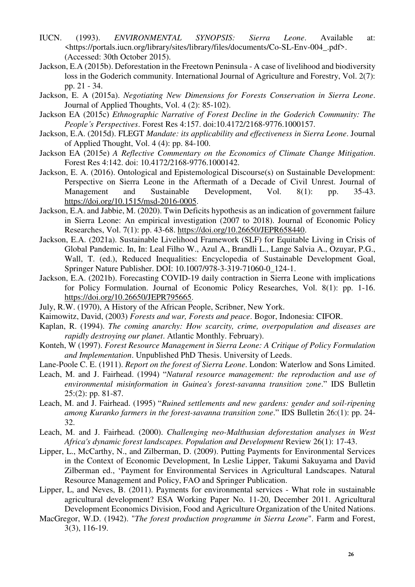- IUCN. (1993). *ENVIRONMENTAL SYNOPSIS: Sierra Leone*. Available at: <https://portals.iucn.org/library/sites/library/files/documents/Co-SL-Env-004\_.pdf>. (Accessed: 30th October 2015).
- Jackson, E.A (2015b). Deforestation in the Freetown Peninsula A case of livelihood and biodiversity loss in the Goderich community. International Journal of Agriculture and Forestry, Vol. 2(7): pp. 21 - 34.
- Jackson, E. A (2015a). *Negotiating New Dimensions for Forests Conservation in Sierra Leone*. Journal of Applied Thoughts, Vol. 4 (2): 85-102).
- Jackson EA (2015c) *Ethnographic Narrative of Forest Decline in the Goderich Community: The People's Perspectives*. Forest Res 4:157. doi:10.4172/2168-9776.1000157.
- Jackson, E.A. (2015d). FLEGT *Mandate: its applicability and effectiveness in Sierra Leone*. Journal of Applied Thought, Vol. 4 (4): pp. 84-100.
- Jackson EA (2015e) *A Reflective Commentary on the Economics of Climate Change Mitigation*. Forest Res 4:142. doi: 10.4172/2168-9776.1000142.
- Jackson, E. A. (2016). Ontological and Epistemological Discourse(s) on Sustainable Development: Perspective on Sierra Leone in the Aftermath of a Decade of Civil Unrest. Journal of Management and Sustainable Development, Vol. 8(1): pp. 35-43. [https://doi.org/10.1515/msd-2016-0005.](https://doi.org/10.1515/msd-2016-0005)
- Jackson, E.A. and Jabbie, M. (2020). Twin Deficits hypothesis as an indication of government failure in Sierra Leone: An empirical investigation (2007 to 2018). Journal of Economic Policy Researches, Vol. 7(1): pp. 43-68. [https://doi.org/10.26650/JEPR658440.](https://doi.org/10.26650/JEPR658440)
- Jackson, E.A. (2021a). Sustainable Livelihood Framework (SLF) for Equitable Living in Crisis of Global Pandemic. In, In: Leal Filho W., Azul A., Brandli L., Lange Salvia A., Ozuyar, P.G., Wall, T. (ed.), Reduced Inequalities: Encyclopedia of Sustainable Development Goal, Springer Nature Publisher. DOI: 10.1007/978-3-319-71060-0\_124-1.
- Jackson, E.A. (2021b). Forecasting COVID-19 daily contraction in Sierra Leone with implications for Policy Formulation. Journal of Economic Policy Researches, Vol. 8(1): pp. 1-16. [https://doi.org/10.26650/JEPR795665.](https://doi.org/10.26650/JEPR795665)
- July, R.W. (1970), A History of the African People, Scribner, New York.
- Kaimowitz, David, (2003) *Forests and war, Forests and peace*. Bogor, Indonesia: CIFOR.
- Kaplan, R. (1994). *The coming anarchy: How scarcity, crime, overpopulation and diseases are rapidly destroying our planet*. Atlantic Monthly. February).
- Konteh, W (1997). *Forest Resource Management in Sierra Leone: A Critique of Policy Formulation and Implementation*. Unpublished PhD Thesis. University of Leeds.
- Lane-Poole C. E. (1911). *Report on the forest of Sierra Leone*. London: Waterlow and Sons Limited.
- Leach, M. and J. Fairhead. (1994) "*Natural resource management: the reproduction and use of environmental misinformation in Guinea's forest-savanna transition zone*." IDS Bulletin 25:(2): pp. 81-87.
- Leach, M. and J. Fairhead. (1995) "*Ruined settlements and new gardens: gender and soil-ripening among Kuranko farmers in the forest-savanna transition zone*." IDS Bulletin 26:(1): pp. 24- 32.
- Leach, M. and J. Fairhead. (2000). *Challenging neo-Malthusian deforestation analyses in West Africa's dynamic forest landscapes. Population and Development* Review 26(1): 17-43.
- Lipper, L., McCarthy, N., and Zilberman, D. (2009). Putting Payments for Environmental Services in the Context of Economic Development, In Leslie Lipper, Takumi Sakuyama and David Zilberman ed., 'Payment for Environmental Services in Agricultural Landscapes. Natural Resource Management and Policy, FAO and Springer Publication.
- Lipper, L, and Neves, B. (2011). Payments for environmental services What role in sustainable agricultural development? ESA Working Paper No. 11-20, December 2011. Agricultural Development Economics Division, Food and Agriculture Organization of the United Nations.
- MacGregor, W.D. (1942). "*The forest production programme in Sierra Leone*". Farm and Forest, 3(3), 116-19.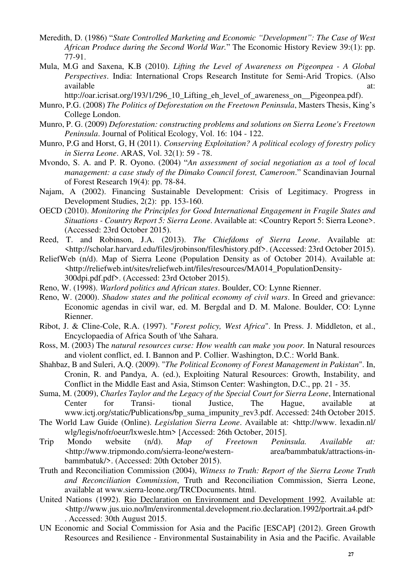- Meredith, D. (1986) "*State Controlled Marketing and Economic "Development": The Case of West African Produce during the Second World War.*" The Economic History Review 39:(1): pp. 77-91.
- Mula, M.G and Saxena, K.B (2010). *Lifting the Level of Awareness on Pigeonpea A Global Perspectives*. India: International Crops Research Institute for Semi-Arid Tropics. (Also available at:

http://oar.icrisat.org/193/1/296\_10\_Lifting\_eh\_level\_of\_awareness\_on\_\_Pigeonpea.pdf).

- Munro, P.G. (2008) *The Politics of Deforestation on the Freetown Peninsula*, Masters Thesis, King's College London.
- Munro, P. G. (2009) *Deforestation: constructing problems and solutions on Sierra Leone's Freetown Peninsula*. Journal of Political Ecology, Vol. 16: 104 - 122.
- Munro, P.G and Horst, G, H (2011). *Conserving Exploitation? A political ecology of forestry policy in Sierra Leone*. ARAS, Vol. 32(1): 59 - 78.
- Mvondo, S. A. and P. R. Oyono. (2004) "*An assessment of social negotiation as a tool of local management: a case study of the Dimako Council forest, Cameroon*." Scandinavian Journal of Forest Research 19(4): pp. 78-84.
- Najam, A (2002). Financing Sustainable Development: Crisis of Legitimacy. Progress in Development Studies, 2(2): pp. 153-160.
- OECD (2010). *Monitoring the Principles for Good International Engagement in Fragile States and Situations - Country Report 5: Sierra Leone*. Available at: <Country Report 5: Sierra Leone>. (Accessed: 23rd October 2015).
- Reed, T. and Robinson, J.A. (2013). *The Chiefdoms of Sierra Leone*. Available at: <http://scholar.harvard.edu/files/jrobinson/files/history.pdf>. (Accessed: 23rd October 2015).
- ReliefWeb (n/d). Map of Sierra Leone (Population Density as of October 2014). Available at: <http://reliefweb.int/sites/reliefweb.int/files/resources/MA014\_PopulationDensity-300dpi.pdf.pdf>. (Accessed: 23rd October 2015).
- Reno, W. (1998). *Warlord politics and African states*. Boulder, CO: Lynne Rienner.
- Reno, W. (2000). *Shadow states and the political economy of civil wars*. In Greed and grievance: Economic agendas in civil war, ed. M. Bergdal and D. M. Malone. Boulder, CO: Lynne Rienner.
- Ribot, J. & Cline-Cole, R.A. (1997). "*Forest policy, West Africa*". In Press. J. Middleton, et al., Encyclopaedia of Africa South of \the Sahara.
- Ross, M. (2003) The *natural resources curse: How wealth can make you poor.* In Natural resources and violent conflict, ed. I. Bannon and P. Collier. Washington, D.C.: World Bank.
- Shahbaz, B and Suleri, A.Q. (2009). "*The Political Economy of Forest Management in Pakistan*". In, Cronin, R. and Pandya, A. (ed.), Exploiting Natural Resources: Growth, Instability, and Conflict in the Middle East and Asia, Stimson Center: Washington, D.C., pp. 21 - 35.
- Suma, M. (2009), *Charles Taylor and the Legacy of the Special Court for Sierra Leone*, International Center for Transi- tional Justice, The Hague, available at www.ictj.org/static/Publications/bp\_suma\_impunity\_rev3.pdf. Accessed: 24th October 2015.
- The World Law Guide (Online). *Legislation Sierra Leone*. Available at: <http://www. lexadin.nl/ wlg/legis/nofr/oeur/lxwesle.htm> [Accessed: 26th October, 2015].
- Trip Mondo website (n/d). *Map of Freetown Peninsula. Available at:* <http://www.tripmondo.com/sierra-leone/western- area/bammbatuk/attractions-inbammbatuk/>. (Accessed: 20th October 2015).
- Truth and Reconciliation Commission (2004), *Witness to Truth: Report of the Sierra Leone Truth and Reconciliation Commission*, Truth and Reconciliation Commission, Sierra Leone, available at www.sierra-leone.org/TRCDocuments. html.
- United Nations (1992). Rio Declaration on Environment and Development 1992. Available at: <http://www.jus.uio.no/lm/environmental.development.rio.declaration.1992/portrait.a4.pdf> . Accessed: 30th August 2015.
- UN Economic and Social Commission for Asia and the Pacific [ESCAP] (2012). Green Growth Resources and Resilience - Environmental Sustainability in Asia and the Pacific. Available